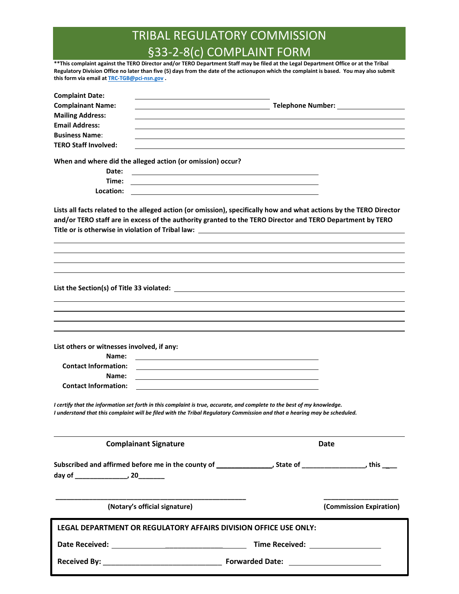# TRIBAL REGULATORY COMMISSION §33-2-8(c) COMPLAINT FORM

**\*\*This complaint against the TERO Director and/or TERO Department Staff may be filed at the Legal Department Office or at the Tribal Regulatory Division Office no later than five (5) days from the date of the actionupon which the complaint is based. You may also submit this form via email at TRC-TGB@pci-nsn.gov .** 

| <b>Complaint Date:</b>                                                                                                                                                                                                           |                                                                                                                      |                         |
|----------------------------------------------------------------------------------------------------------------------------------------------------------------------------------------------------------------------------------|----------------------------------------------------------------------------------------------------------------------|-------------------------|
| <b>Complainant Name:</b>                                                                                                                                                                                                         | Telephone Number: New York Channels                                                                                  |                         |
| <b>Mailing Address:</b>                                                                                                                                                                                                          |                                                                                                                      |                         |
| <b>Email Address:</b>                                                                                                                                                                                                            |                                                                                                                      |                         |
| <b>Business Name:</b>                                                                                                                                                                                                            |                                                                                                                      |                         |
| <b>TERO Staff Involved:</b>                                                                                                                                                                                                      |                                                                                                                      |                         |
| When and where did the alleged action (or omission) occur?                                                                                                                                                                       |                                                                                                                      |                         |
| Date:                                                                                                                                                                                                                            | <u> 1989 - Andrea Barbara, Amerikaansk politiker (</u>                                                               |                         |
| Time:                                                                                                                                                                                                                            |                                                                                                                      |                         |
| Location:                                                                                                                                                                                                                        |                                                                                                                      |                         |
| Lists all facts related to the alleged action (or omission), specifically how and what actions by the TERO Director<br>and/or TERO staff are in excess of the authority granted to the TERO Director and TERO Department by TERO |                                                                                                                      |                         |
| Title or is otherwise in violation of Tribal law: _______________________________                                                                                                                                                |                                                                                                                      |                         |
|                                                                                                                                                                                                                                  |                                                                                                                      |                         |
|                                                                                                                                                                                                                                  |                                                                                                                      |                         |
|                                                                                                                                                                                                                                  |                                                                                                                      |                         |
|                                                                                                                                                                                                                                  |                                                                                                                      |                         |
|                                                                                                                                                                                                                                  |                                                                                                                      |                         |
|                                                                                                                                                                                                                                  |                                                                                                                      |                         |
| List others or witnesses involved, if any:                                                                                                                                                                                       |                                                                                                                      |                         |
| Name:                                                                                                                                                                                                                            | <u> 1980 - Jan Samuel Barbara, martin de la populación de la propia de la propia de la propia de la propia de la</u> |                         |
| <b>Contact Information:</b>                                                                                                                                                                                                      |                                                                                                                      |                         |
| Name:                                                                                                                                                                                                                            |                                                                                                                      |                         |
| <b>Contact Information:</b>                                                                                                                                                                                                      |                                                                                                                      |                         |
| I certify that the information set forth in this complaint is true, accurate, and complete to the best of my knowledge.                                                                                                          |                                                                                                                      |                         |
| I understand that this complaint will be filed with the Tribal Regulatory Commission and that a hearing may be scheduled.                                                                                                        |                                                                                                                      |                         |
| <b>Complainant Signature</b>                                                                                                                                                                                                     | <b>Date</b>                                                                                                          |                         |
| Subscribed and affirmed before me in the county of ________________, State of _________________, this ____                                                                                                                       |                                                                                                                      |                         |
|                                                                                                                                                                                                                                  |                                                                                                                      |                         |
|                                                                                                                                                                                                                                  |                                                                                                                      |                         |
|                                                                                                                                                                                                                                  |                                                                                                                      |                         |
| (Notary's official signature)                                                                                                                                                                                                    |                                                                                                                      | (Commission Expiration) |
| LEGAL DEPARTMENT OR REGULATORY AFFAIRS DIVISION OFFICE USE ONLY:                                                                                                                                                                 |                                                                                                                      |                         |
|                                                                                                                                                                                                                                  | Time Received: ___________________                                                                                   |                         |
|                                                                                                                                                                                                                                  |                                                                                                                      |                         |
|                                                                                                                                                                                                                                  |                                                                                                                      |                         |